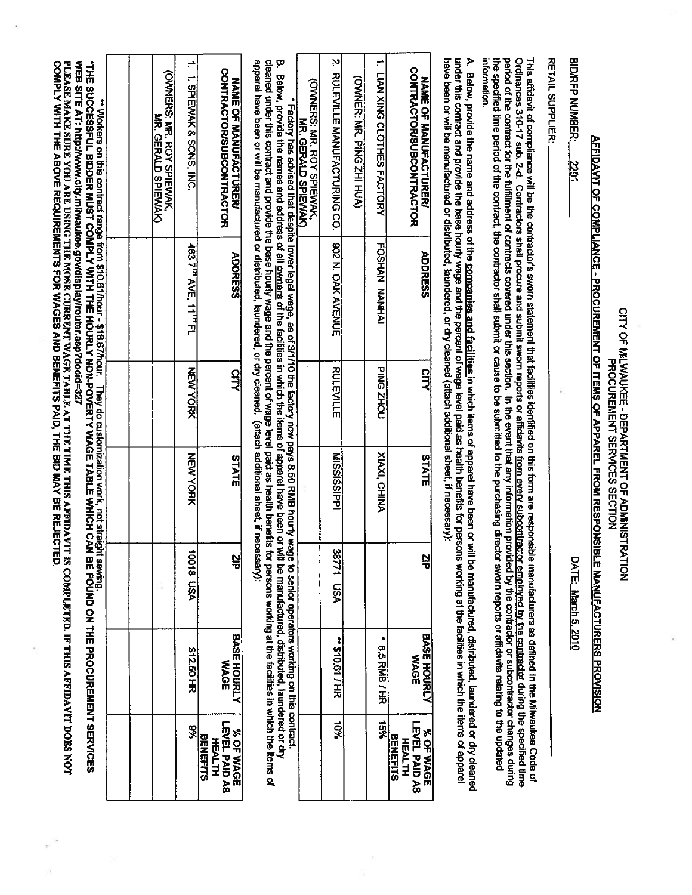|                                                                |                            | <b>Bunnes</b>               | " They List States on this contract range from \$10.016 http://hour. They do customization work, not straight<br>"THE SUCCESSFUL BIDDER MUST COMPLY WITH THE HOURLY NON-POVERTY WAGE TABLE WHICH CAN |                  | ™ Workers on this contract range from \$10.61/hour - \$16.67/hour. |                                                                                                                                                                                                                                                                                                                                                                                                                                                                                                                                                                                                                                                                                                                                                                                                                                                                                                                                                                                                                                                                                                                                                                                                                                                          |
|----------------------------------------------------------------|----------------------------|-----------------------------|------------------------------------------------------------------------------------------------------------------------------------------------------------------------------------------------------|------------------|--------------------------------------------------------------------|----------------------------------------------------------------------------------------------------------------------------------------------------------------------------------------------------------------------------------------------------------------------------------------------------------------------------------------------------------------------------------------------------------------------------------------------------------------------------------------------------------------------------------------------------------------------------------------------------------------------------------------------------------------------------------------------------------------------------------------------------------------------------------------------------------------------------------------------------------------------------------------------------------------------------------------------------------------------------------------------------------------------------------------------------------------------------------------------------------------------------------------------------------------------------------------------------------------------------------------------------------|
|                                                                |                            |                             |                                                                                                                                                                                                      |                  |                                                                    |                                                                                                                                                                                                                                                                                                                                                                                                                                                                                                                                                                                                                                                                                                                                                                                                                                                                                                                                                                                                                                                                                                                                                                                                                                                          |
|                                                                |                            |                             |                                                                                                                                                                                                      |                  |                                                                    | <b>CONNERS: NAS: NOV SPIENNAY</b><br>MR. GERALD SPIEWAK)                                                                                                                                                                                                                                                                                                                                                                                                                                                                                                                                                                                                                                                                                                                                                                                                                                                                                                                                                                                                                                                                                                                                                                                                 |
| 8%                                                             | <b>\$12.50 HR</b>          | <b>VSN 81001</b>            | NEW YORK                                                                                                                                                                                             | MEW YORK         | 463 7' <sup>n</sup> AVE, 11' <sup>n</sup> FL                       | $\Rightarrow$<br>1. SPIEWAK & SONS, INC                                                                                                                                                                                                                                                                                                                                                                                                                                                                                                                                                                                                                                                                                                                                                                                                                                                                                                                                                                                                                                                                                                                                                                                                                  |
| LEVEL PAID AS<br>% OF WAGE<br><b>BENEFITS</b><br><b>HEALTH</b> | BASE HOURLY<br><b>WAGE</b> | 널                           | STATE                                                                                                                                                                                                | <b>CITY</b>      | <b>ADDRESS</b>                                                     | <b>CONTRACTOR/SUBCONDERS</b><br><b>NAME OF MANGENOTICATED</b>                                                                                                                                                                                                                                                                                                                                                                                                                                                                                                                                                                                                                                                                                                                                                                                                                                                                                                                                                                                                                                                                                                                                                                                            |
|                                                                |                            |                             |                                                                                                                                                                                                      |                  |                                                                    | apparel have been or will be manufactured or distributed, laundered, or dry cleaned. (attach additional sheet, if necessary):<br>cleaned under this contract and provide the base houny wage and the percent of wage level paid as health benefits for persons working at the facilities in which the items of<br>B. Below, provide the names and address of all <u>owners</u> of the facilities in which the items of apparel have been or will be manufactured, distributed, laundered or dry<br>* Factory has advised that despite lower legal wage, as of 31110 the factory now pays 8.50 RMB hourly wage to senior operators working on this contract.                                                                                                                                                                                                                                                                                                                                                                                                                                                                                                                                                                                              |
|                                                                |                            |                             |                                                                                                                                                                                                      |                  |                                                                    | (OWNERS: MR. ROY SPIEWAK,<br>MRS. GERALD SPIERNAN                                                                                                                                                                                                                                                                                                                                                                                                                                                                                                                                                                                                                                                                                                                                                                                                                                                                                                                                                                                                                                                                                                                                                                                                        |
| 10%                                                            | 14510:01 / HE              | ω<br>1778<br>hSA            | MISSISSIPPI                                                                                                                                                                                          | <b>RULEVILLE</b> | 902 N. OAK AVENUE                                                  | 2. RULEVILLE MÄNUFÄCTURING CO.                                                                                                                                                                                                                                                                                                                                                                                                                                                                                                                                                                                                                                                                                                                                                                                                                                                                                                                                                                                                                                                                                                                                                                                                                           |
|                                                                |                            |                             |                                                                                                                                                                                                      |                  |                                                                    | <b>CONDITATION: PING ZHI HUA)</b>                                                                                                                                                                                                                                                                                                                                                                                                                                                                                                                                                                                                                                                                                                                                                                                                                                                                                                                                                                                                                                                                                                                                                                                                                        |
| 9691                                                           | ۰                          |                             | <b>XIAXI, CHINA</b>                                                                                                                                                                                  | <b>PING ZHOU</b> | FOSHAN NANHAI                                                      | 1. LIAN XING CLOTHES FACTORY                                                                                                                                                                                                                                                                                                                                                                                                                                                                                                                                                                                                                                                                                                                                                                                                                                                                                                                                                                                                                                                                                                                                                                                                                             |
| LEVEL PAID AS<br><b>NOF WAGE</b><br><b>BENEFITS</b>            | <b>NAGE</b>                | 넣                           | STATE                                                                                                                                                                                                | CITY             | <b>ADDRESS</b>                                                     | <b>CONTRACTORISUBCONTRACTOR</b><br>NAME OF EANUFACTURES                                                                                                                                                                                                                                                                                                                                                                                                                                                                                                                                                                                                                                                                                                                                                                                                                                                                                                                                                                                                                                                                                                                                                                                                  |
|                                                                |                            |                             |                                                                                                                                                                                                      |                  |                                                                    | ₹                                                                                                                                                                                                                                                                                                                                                                                                                                                                                                                                                                                                                                                                                                                                                                                                                                                                                                                                                                                                                                                                                                                                                                                                                                                        |
|                                                                |                            |                             |                                                                                                                                                                                                      |                  |                                                                    | information.                                                                                                                                                                                                                                                                                                                                                                                                                                                                                                                                                                                                                                                                                                                                                                                                                                                                                                                                                                                                                                                                                                                                                                                                                                             |
|                                                                |                            |                             |                                                                                                                                                                                                      |                  |                                                                    | <b>RETAIL SUPPLIER:</b>                                                                                                                                                                                                                                                                                                                                                                                                                                                                                                                                                                                                                                                                                                                                                                                                                                                                                                                                                                                                                                                                                                                                                                                                                                  |
|                                                                |                            |                             |                                                                                                                                                                                                      |                  |                                                                    | BID/RFP NUMBER:<br>1627                                                                                                                                                                                                                                                                                                                                                                                                                                                                                                                                                                                                                                                                                                                                                                                                                                                                                                                                                                                                                                                                                                                                                                                                                                  |
|                                                                |                            |                             |                                                                                                                                                                                                      |                  |                                                                    |                                                                                                                                                                                                                                                                                                                                                                                                                                                                                                                                                                                                                                                                                                                                                                                                                                                                                                                                                                                                                                                                                                                                                                                                                                                          |
|                                                                |                            |                             |                                                                                                                                                                                                      |                  |                                                                    |                                                                                                                                                                                                                                                                                                                                                                                                                                                                                                                                                                                                                                                                                                                                                                                                                                                                                                                                                                                                                                                                                                                                                                                                                                                          |
|                                                                |                            | BASE HOURLY<br>8.5 RMB / HR | Il be manufactured, distributed, laundered or dry cleaned<br>le manufacturers as defined in the Milwaukee Code of<br>LE MANUFACTURERS PROVISION<br>DATE: March 5, 2010                               |                  |                                                                    | have been or will be manufactured or distributed, laundered, or dry cleaned (attach additional sheet, if necessary):<br>under this contract and provide the base houny wage and the percent of wage level paid as health benefits for persons working at the facilities in which the items of appare<br>the specified time period of the contractor, the contractor shall submit or cause to be submitted to the purchasing director sworn reports or affidavits relating to the updated<br>period of the contract for the fulfillment of contracts covered under this section. In the event that any information provided by the contractor or subcontractor changes during<br>Ordinances 310-17 sub. 2-d. Contractors shall procure and submit swom reports from every subcontractor employed by the contractor during the specified time<br>This affidavit of compliance will be the contractor's sworn statement that facilities identified on this form are responsib<br>Below, provide the name and address of the companies and facilities in which items of apparel have been or wil<br><b>AFFIDAVIT OF COMPLIANCE - PROCUREMENT OF ITEMS OF APPAREL FROM RESPONSIB</b><br>CITY OF MICKNAMENT SEPARATOR SECTION AND MICKNAMENT OF ADMINISTRATION |

 $\widehat{\mathcal{X}}$ 

Ŷ.

ÿ,

Ŧ

X.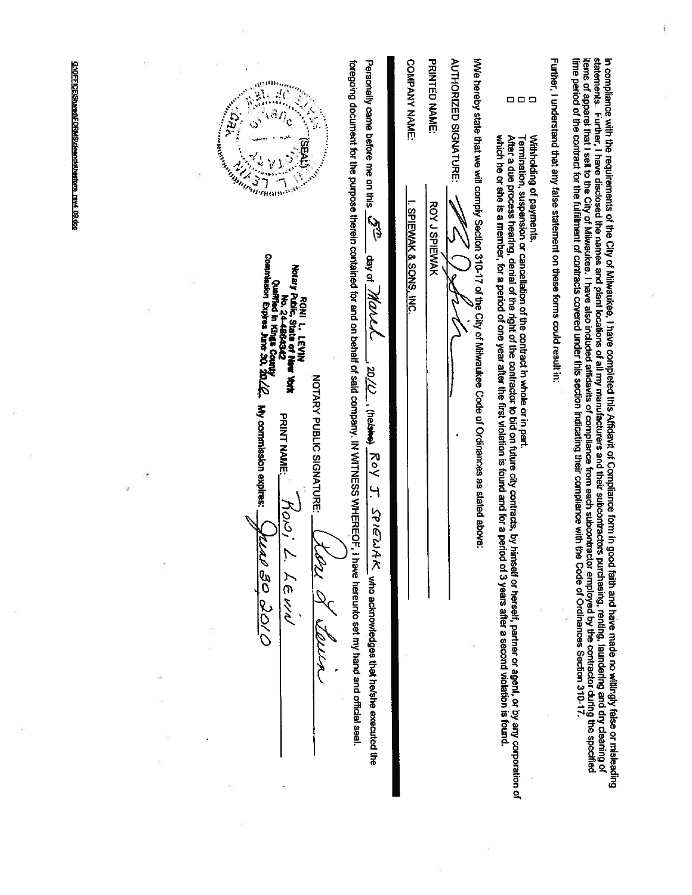| GYOFFICE/SharedFORMSickerobiothertom ray4 09.0cc | amin <sub>'ny ma</sub><br>Anterican<br>YED.<br><b>Contract of Contract of Contract of Contract of Contract of Contract of Contract of Contract of Contract of Co</b>                                                              | Personally came before me on this<br><b>C</b><br>El                                                                                                                    | COMPANY NAME:<br><b>PRINTED NAME:</b><br><b>AUTHORIZED SIGNATURE:</b><br><b>ROY J SPIEWAK</b>                                                              | 888<br>Withholding of payments.                                                                                                                                                                                                                                                                                                  | Further, I understand that any false statement on these forms could result in:                                                                                                                                                                                                                                                                                                                                     |  |
|--------------------------------------------------|-----------------------------------------------------------------------------------------------------------------------------------------------------------------------------------------------------------------------------------|------------------------------------------------------------------------------------------------------------------------------------------------------------------------|------------------------------------------------------------------------------------------------------------------------------------------------------------|----------------------------------------------------------------------------------------------------------------------------------------------------------------------------------------------------------------------------------------------------------------------------------------------------------------------------------|--------------------------------------------------------------------------------------------------------------------------------------------------------------------------------------------------------------------------------------------------------------------------------------------------------------------------------------------------------------------------------------------------------------------|--|
|                                                  | Mo. 24-4864342<br>Qualified in Kings Courty<br>Commission Expless Jure 30, 20:<br>Notary Public, State of N<br>RONI LIEVIN<br><b>No York</b><br><b>NOTARY PUBLIC SIGNATURE:</b><br>4 My commission expires:<br><b>PRINT NAME:</b> | foregoing document for the purpose therein contained for and on behalf of said company. IN WITNESS WHEREOF,<br>day of Marcy<br>$\overline{O/02}$<br>- (helsite)<br>Roy | IWe hereby state that we will comply Section 310-17 of the City of Milwaukee Code of Ordinances as stated above:<br><u>I. SPIEWAK &amp; SONS, INC</u><br>٠ | Termination, suspension or cancellation of the contract in whole or in part.                                                                                                                                                                                                                                                     |                                                                                                                                                                                                                                                                                                                                                                                                                    |  |
| Q.                                               | 0100 08 M<br>y<br>トルミン                                                                                                                                                                                                            | Η.<br>$S$ P <i>IE</i> WAK_who acknowledges that he/she executed the<br>I have hereunto set my hand and official seal.                                                  |                                                                                                                                                            | which he or she is a member, for a period of one year after the first violation is found and for a period of 3 years after a second violation is found.<br>After a due process hearing, denial of the right of the contractor to bid on future city contracts, by himself or herself, partner or agent, or by any corporation of | statements. Further, I have disclosed the names and plant locations of all my manufacturers and their subcontractors purchasing, renting, laundering and dry cleaming of<br>items of apparel that I sell to the fulfillment of co<br>In compliance with the requirements of the City of Milwaukee, I have completed this Affidavit of Compliance form in good faith and have made no willingly false or misleading |  |
|                                                  |                                                                                                                                                                                                                                   |                                                                                                                                                                        |                                                                                                                                                            |                                                                                                                                                                                                                                                                                                                                  |                                                                                                                                                                                                                                                                                                                                                                                                                    |  |

 $\sim 100$   $\mu$ 

 $\frac{d\Omega}{d\Omega}$ 

 $\Gamma$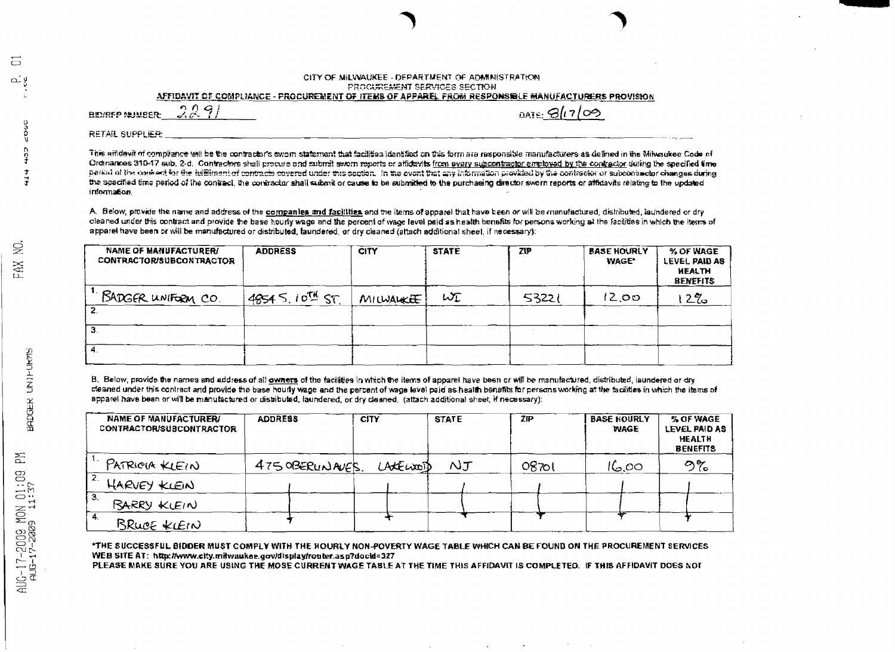#### CITY OF MILWAUKEE - DEPARTMENT OF ADMINISTRATION PROCUREMENT SERVICES SECTION

AFFIDAVIT OF COMPLIANCE - PROCUREMENT OF ITEMS OF APPAREL FROM RESPONSIBLE MANUFACTURERS PROVISION

**BEVREP MUNISER** 

 $are Gl1/09$ 

**RETAIL SUPPLIER:** 

2291

This amdevit of compliance will be the contractor's sworn statement that facilities identified on this form are responsible manufacturers as defined in the Milwaukee Code of Ordinances 310-17 sub. 2-d. Contractors shall procure and submit sworn reports or affidavits from every subcontractor employed by the contractor during the specified time period of the context for the fulfilment of contracts covered under this section. In the event that any information provided by the contractor or subcombactor changes during the specified time period of the contract, the contractor shall submit or cause to be submitted to the purchasing director sworn reports or affidavits relating to the updated information.

A. Below, provide the name and address of the companies and facilities and the items of apparel that have been or will be manufactured, distributed, iaundered or dry cleaned under this contract and provide the base hourly wage and the percent of wage level paid as health benefits for persons working at the facilities in which the items of apparel have been or will be manufactured or distributed, laundered, or dry cleaned (altach additional sheet, if necessary):

| <b>NAME OF MANUFACTURER/</b><br>CONTRACTOR/SUBCONTRACTOR | <b>ADDRESS</b>  | <b>CITY</b> | <b>STATE</b> | <b>ZIP</b> | <b>BASE HOURLY</b><br><b>WAGE*</b> | % OF WAGE<br>LEVEL PAID AS<br><b>HEALTH</b><br><b>BENEFITS</b> |
|----------------------------------------------------------|-----------------|-------------|--------------|------------|------------------------------------|----------------------------------------------------------------|
| BADGER UNIFORM CO.                                       | 4854 S. 10TH ST | MILWALKEE   | WI           | 53221      | 12.00                              | $2\%$                                                          |
|                                                          |                 |             |              |            |                                    |                                                                |
| з                                                        |                 |             |              |            |                                    |                                                                |
| 4.                                                       |                 |             |              |            |                                    |                                                                |

B. Below, provide the names and address of all owners of the facilities in which the items of apparel have been or will be manufactured, distributed, laundered or dry cleaned under this contract and provide the base hourly wage and the percent of wage level paid as health benefits for persons working at the facilities in which the items of apparel have been or will be manufactured or distributed, laundered, or dry cleaned. (attach additional sheet, if necessary):

| NAME OF MANUFACTURER/<br><b>CONTRACTOR/SUBCONTRACTOR</b> | <b>ADDRESS</b>  | <b>CITY</b> | <b>STATE</b>  | 7P    | <b>BASE HOURLY</b><br><b><i>WAGE</i></b> | % OF WAGE<br>LEVEL PAID AS<br><b>HEALTH</b><br><b>BENEFITS</b> |
|----------------------------------------------------------|-----------------|-------------|---------------|-------|------------------------------------------|----------------------------------------------------------------|
| PATRICIA KLEIN                                           | 475 OBERUNAVES. | LACELLOOD   | $\mathcal{N}$ | 0870। | 16.00                                    | ిడ                                                             |
| 2.<br>HARVEY KLEIN                                       |                 |             |               |       |                                          |                                                                |
| 3.<br><b>BARRY KLEIN</b>                                 |                 |             |               |       |                                          |                                                                |
| 4.<br>BRUCE KLEIN                                        |                 |             |               |       |                                          |                                                                |

"THE SUCCESSFUL BIDDER MUST COMPLY WITH THE HOURLY NON-POVERTY WAGE TABLE WHICH CAN BE FOUND ON THE PROCUREMENT SERVICES WEB SITE AT: http://www.city.milwaukee.gov/display/router.asp?docid=327

PLEASE MAKE SURE YOU ARE USING THE MOSE CURRENT WAGE TABLE AT THE TIME THIS AFFIDAVIT IS COMPLETED. IF THIS AFFIDAVIT DOES NOT

 $\frac{1}{4}$ 

 $\overline{a}$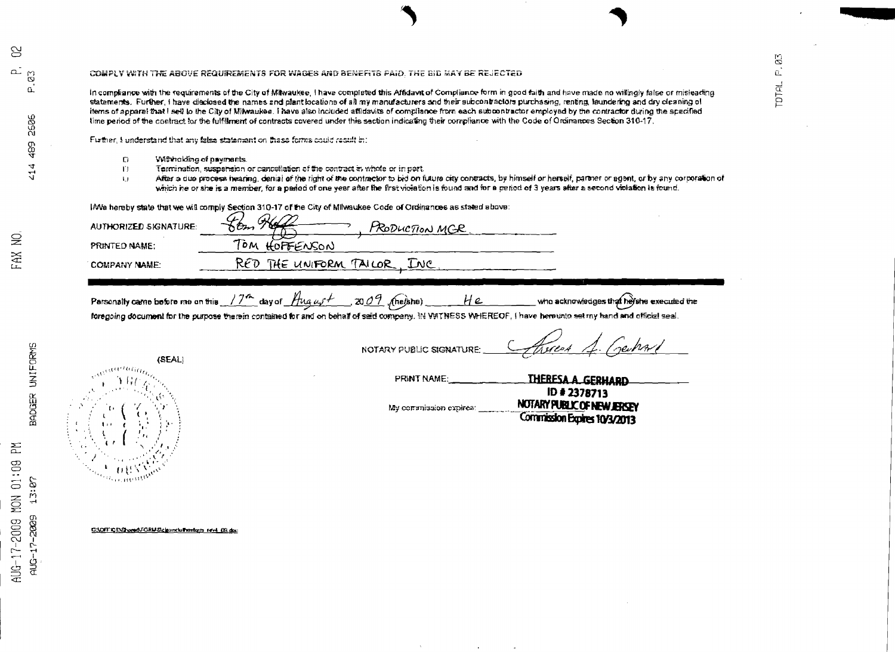### COMPLY WITH THE ABOVE REQUIREMENTS FOR WAGES AND BENEFITS PAID. THE BID MAY BE REJECTED

in compliance with the requirements of the City of Milwaukee, I have completed this Affidavit of Compliance form in good faith and have made no willingly false or misleading statements. Further, I have disclosed the names and plant locations of all my manufacturers and their subcontractors purchasing, renting, laundering and dry cleaning of items of apparel that I sell to the City of Milwaukes. I have also included affidavits of compliance from each subcontractor employed by the contractor during the specified time period of the contract for the fulfilment of contracts covered under this section indicating their compliance with the Code of Ordinances Section 310-17.

Further, I understand that any false statement on these forms could recult in:

- $\mathbf D$ Withholding of payments.
- Termination, suspension or carrosilation of the contract in whole or in part.  $\Gamma$
- After a due procese hearing, denial of the right of the contractor to bid on future city contracts, by himself or herself, partner or agent, or by any corporation of  $\overline{1}$ which he or she is a member, for a pariod of one year after the first victation is found and for a regiod of 3 years after a second violation is found.

 $\mathbb{S}$ 

 $\overline{a}$ 

**TOTAL** 

I/We hereby state that we will comply Section 310-17 of the City of Milwaukee Code of Ordinances as stated above:

**AUTHORIZED SIGNATURE:** PRODUCTION MGR TOM HOFFENSON PRINTED NAME: RED THE UNIFORM TAILOR, INC **COMPANY NAME:** Parsonally came before me on this  $/7$ <sup>th</sup> day of  $\frac{\mu_{\alpha\alpha}+1}{\mu_{\alpha\beta}+1}$  (nelshe) He who acknowledges that he she executed the foregoing document for the purpose therein contained for and on behalf of said company. IN VVITNESS WHEREOF, I have here unto set my hand and official seal NOTARY PUBLIC SIGNATURE (SEAL) aartan<sub>an</sub> THERESA A GERHARD PRINT NAME ID # 2378713 NOTARY PUBLIC OF NEW JERSEY My commission expires: Commission Expires 10/3/2013 G:\OFFICE\Shored\FORMS\cleancluthestorn rev4 09.doc

 $\approx$ 

 $\trianglerighteq$ FAX

준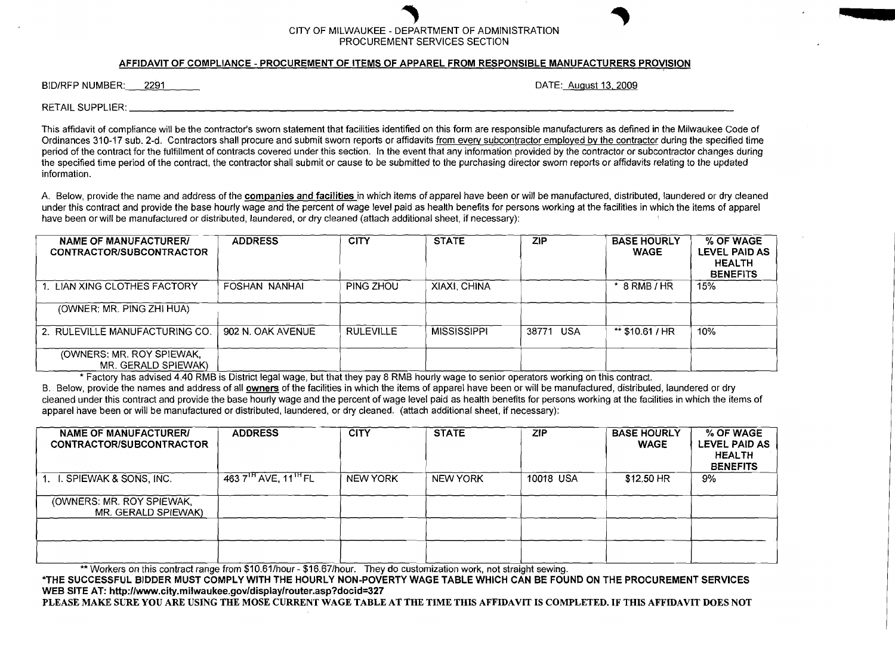## CITY OF MILWAUKEE - DEPARTMENT OF ADMINISTRATION PROCUREMENT SERVICES SECTION

## AFFIDAVIT OF COMPLIANCE - PROCUREMENT OF ITEMS OF APPAREL FROM RESPONSIBLE MANUFACTURERS PROVISION

BID/RFP NUMBER: 2291 DATE: August 13, 2009

RETAIL SUPPLIER:

This affidavit of compliance will be the contractor's sworn statement that facilities identified on this form are responsible manufacturers as defined in the Milwaukee Code of Ordinances 310-17 sub. 2-d. Contractors shall procure and submit sworn reports or affidavits from every subcontractor employed by the contractor during the specified time period of the contract for the fulfillment of contracts covered under this section, In the event that any information provided by the contractor or subcontractor changes during the specified time period of the contract. the contractor shall submit or cause to be submitted to the purchasing director sworn reports or affidavits relating to the updated information.

A. Below, provide the name and address of the companies and facilities in which items of apparel have been or will be manufactured, distributed, laundered or dry cleaned under this contract and provide the base hourly wage and the percent of wage level paid as health benefits for persons working at the facilities in which the items of apparel have been or will be manufactured or distributed, laundered, or dry cleaned (attach additional sheet, if necessary):

| NAME OF MANUFACTURER/<br>CONTRACTOR/SUBCONTRACTOR | <b>ADDRESS</b>    | <b>CITY</b>      | <b>STATE</b>       | <b>ZIP</b>          | <b>BASE HOURLY</b><br><b>WAGE</b> | % OF WAGE<br>LEVEL PAID AS<br><b>HEALTH</b><br><b>BENEFITS</b> |
|---------------------------------------------------|-------------------|------------------|--------------------|---------------------|-----------------------------------|----------------------------------------------------------------|
| LIAN XING CLOTHES FACTORY                         | FOSHAN NANHAI     | PING ZHOU        | XIAXI, CHINA       |                     | $*$ 8 RMB / HR                    | 15%                                                            |
| (OWNER: MR. PING ZHI HUA)                         |                   |                  |                    |                     |                                   |                                                                |
| 2. RULEVILLE MANUFACTURING CO.                    | 902 N. OAK AVENUE | <b>RULEVILLE</b> | <b>MISSISSIPPL</b> | 38771<br><b>USA</b> | ** $$10.61 / HR$                  | 10%                                                            |
| (OWNERS: MR. ROY SPIEWAK,<br>MR. GERALD SPIEWAK)  |                   |                  |                    |                     |                                   |                                                                |

\* Factory has advised 4.40 RMB is District legal wage, but that they pay 8 RMB hourly wage to senior operators working on this contract.

B. Below, provide the names and address of all owners of the facilities in which the items of apparel have been or will be manufactured, distributed, laundered or dry cleaned under this contract and provide the base hourly wage and the percent of wage level paid as health benefits for persons working at the facilities in which the items of apparel have been or will be manufactured or distributed, laundered, or dry cleaned. (attach additional sheet, if necessary):

| <b>NAME OF MANUFACTURERI</b><br>CONTRACTOR/SUBCONTRACTOR | <b>ADDRESS</b>                               | <b>CITY</b>     | <b>STATE</b>    | <b>ZIP</b> | <b>BASE HOURLY</b><br><b>WAGE</b> | % OF WAGE<br>LEVEL PAID AS<br><b>HEALTH</b><br><b>BENEFITS</b> |
|----------------------------------------------------------|----------------------------------------------|-----------------|-----------------|------------|-----------------------------------|----------------------------------------------------------------|
| . SPIEWAK & SONS, INC.                                   | 463 7 <sup>IH</sup> AVE, 11 <sup>IH</sup> FL | <b>NEW YORK</b> | <b>NEW YORK</b> | 10018 USA  | \$12.50 HR                        | 9%                                                             |
| (OWNERS: MR. ROY SPIEWAK,<br>MR. GERALD SPIEWAK)         |                                              |                 |                 |            |                                   |                                                                |
|                                                          |                                              |                 |                 |            |                                   |                                                                |
|                                                          |                                              |                 |                 |            |                                   |                                                                |

\*\* Workers on this contract range from \$10.61/hour - \$16.67/hour. They do customization work, not straight sewing.

\*THE SUCCESSFUL BIDDER MUST COMPLY WITH THE HOURLY NON-POVERTY WAGE TABLE WHICH CAN BE FOUND ON THE PROCUREMENT SERVICES WEB SITE AT: http://www.city.milwaukee.gov/display/router.asp?docid=327

PLEASE MAKE SURE YOU ARE USING THE MOSE CURRENT WAGE TABLE AT THE TIME THIS AFFIDAVIT IS COMPLETED. IF THIS AFFIDAVIT DOES NOT